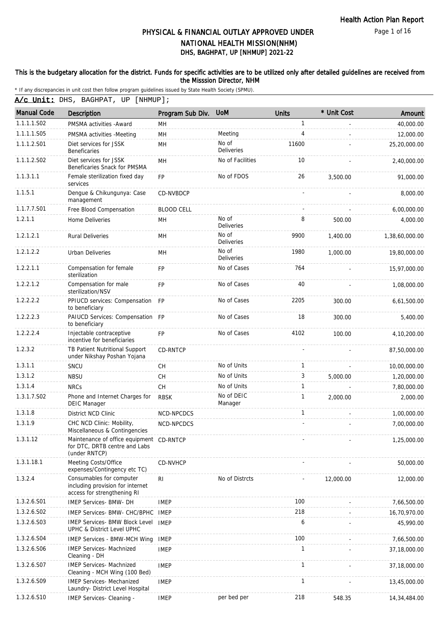Page 1 of 16

# DHS, BAGHPAT, UP [NHMUP] 2021-22 PHYSICAL & FINANCIAL OUTLAY APPROVED UNDER NATIONAL HEALTH MISSION(NHM)

#### This is the budgetary allocation for the district. Funds for specific activities are to be utilized only after detailed guidelines are received from the Misssion Director, NHM

\* If any discrepancies in unit cost then follow program guidelines issued by State Health Society (SPMU).

A/c Unit: DHS, BAGHPAT, UP [NHMUP];

| <b>Manual Code</b> | Description                                                                                 | Program Sub Div.  | <b>UoM</b>                 | <b>Units</b> | * Unit Cost | Amount         |
|--------------------|---------------------------------------------------------------------------------------------|-------------------|----------------------------|--------------|-------------|----------------|
| 1.1.1.1.S02        | PMSMA activities - Award                                                                    | MН                |                            | 1            |             | 40,000.00      |
| 1.1.1.1.S05        | PMSMA activities -Meeting                                                                   | MH                | Meeting                    | 4            |             | 12,000.00      |
| 1.1.1.2.S01        | Diet services for JSSK<br><b>Beneficaries</b>                                               | MH                | No of<br>Deliveries        | 11600        |             | 25,20,000.00   |
| 1.1.1.2.S02        | Diet services for JSSK<br>Beneficaries Snack for PMSMA                                      | MH                | No of Facilities           | 10           |             | 2,40,000.00    |
| 1.1.3.1.1          | Female sterilization fixed day<br>services                                                  | FP                | No of FDOS                 | 26           | 3,500.00    | 91,000.00      |
| 1.1.5.1            | Dengue & Chikungunya: Case<br>management                                                    | <b>CD-NVBDCP</b>  |                            |              |             | 8,000.00       |
| 1.1.7.7.S01        | Free Blood Compensation                                                                     | <b>BLOOD CELL</b> |                            |              |             | 6,00,000.00    |
| 1.2.1.1            | Home Deliveries                                                                             | MH                | No of<br>Deliveries        | 8            | 500.00      | 4,000.00       |
| 1.2.1.2.1          | <b>Rural Deliveries</b>                                                                     | MH                | No of<br>Deliveries        | 9900         | 1,400.00    | 1,38,60,000.00 |
| 1.2.1.2.2          | Urban Deliveries                                                                            | MН                | No of<br><b>Deliveries</b> | 1980         | 1,000.00    | 19,80,000.00   |
| 1.2.2.1.1          | Compensation for female<br>sterilization                                                    | FP                | No of Cases                | 764          |             | 15,97,000.00   |
| 1.2.2.1.2          | Compensation for male<br>sterilization/NSV                                                  | <b>FP</b>         | No of Cases                | 40           |             | 1,08,000.00    |
| 1.2.2.2.2          | PPIUCD services: Compensation<br>to beneficiary                                             | <b>FP</b>         | No of Cases                | 2205         | 300.00      | 6,61,500.00    |
| 1.2.2.2.3          | PAIUCD Services: Compensation FP<br>to beneficiary                                          |                   | No of Cases                | 18           | 300.00      | 5,400.00       |
| 1.2.2.2.4          | Injectable contraceptive<br>incentive for beneficiaries                                     | <b>FP</b>         | No of Cases                | 4102         | 100.00      | 4,10,200.00    |
| 1.2.3.2            | TB Patient Nutritional Support<br>under Nikshay Poshan Yojana                               | <b>CD-RNTCP</b>   |                            |              |             | 87,50,000.00   |
| 1.3.1.1            | SNCU                                                                                        | <b>CH</b>         | No of Units                | 1            |             | 10,00,000.00   |
| 1.3.1.2            | <b>NBSU</b>                                                                                 | CH.               | No of Units                | 3            | 5,000.00    | 1,20,000.00    |
| 1.3.1.4            | <b>NRCs</b>                                                                                 | CH                | No of Units                | 1            |             | 7,80,000.00    |
| 1.3.1.7.S02        | Phone and Internet Charges for<br><b>DEIC Manager</b>                                       | <b>RBSK</b>       | No of DEIC<br>Manager      | 1            | 2,000.00    | 2,000.00       |
| 1.3.1.8            | District NCD Clinic                                                                         | NCD-NPCDCS        |                            | 1            |             | 1,00,000.00    |
| 1.3.1.9            | CHC NCD Clinic: Mobility,<br>Miscellaneous & Contingencies                                  | NCD-NPCDCS        |                            |              |             | 7,00,000.00    |
| 1.3.1.12           | Maintenance of office equipment CD-RNTCP<br>for DTC, DRTB centre and Labs<br>(under RNTCP)  |                   |                            |              |             | 1,25,000.00    |
| 1.3.1.18.1         | Meeting Costs/Office<br>expenses/Contingency etc TC)                                        | <b>CD-NVHCP</b>   |                            |              |             | 50,000.00      |
| 1.3.2.4            | Consumables for computer<br>including provision for internet<br>access for strengthening RI | R <sub>l</sub>    | No of Distrcts             |              | 12,000.00   | 12,000.00      |
| 1.3.2.6.S01        | <b>IMEP Services- BMW- DH</b>                                                               | <b>IMEP</b>       |                            | 100          |             | 7,66,500.00    |
| 1.3.2.6.S02        | IMEP Services- BMW- CHC/BPHC                                                                | IMEP              |                            | 218          |             | 16,70,970.00   |
| 1.3.2.6.S03        | <b>IMEP Services- BMW Block Level</b><br>UPHC & District Level UPHC                         | <b>IMEP</b>       |                            | 6            |             | 45,990.00      |
| 1.3.2.6.S04        | <b>IMEP Services - BMW-MCH Wing</b>                                                         | <b>IMEP</b>       |                            | 100          |             | 7,66,500.00    |
| 1.3.2.6.S06        | <b>IMEP Services- Machnized</b><br>Cleaning - DH                                            | <b>IMEP</b>       |                            | 1            |             | 37,18,000.00   |
| 1.3.2.6.S07        | <b>IMEP Services- Machnized</b><br>Cleaning - MCH Wing (100 Bed)                            | <b>IMEP</b>       |                            | $\mathbf{1}$ |             | 37,18,000.00   |
| 1.3.2.6.S09        | <b>IMEP Services- Mechanized</b><br>Laundry- District Level Hospital                        | <b>IMEP</b>       |                            | 1            |             | 13,45,000.00   |
| 1.3.2.6.S10        | IMEP Services- Cleaning -                                                                   | <b>IMEP</b>       | per bed per                | 218          | 548.35      | 14,34,484.00   |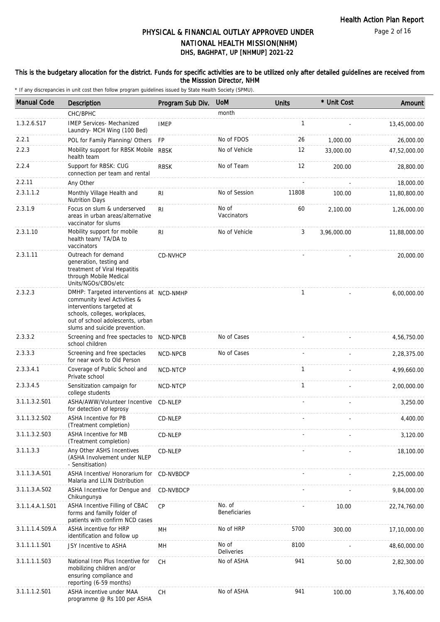#### This is the budgetary allocation for the district. Funds for specific activities are to be utilized only after detailed guidelines are received from the Misssion Director, NHM

| <b>Manual Code</b> | <b>Description</b>                                                                                                                                                                                           | Program Sub Div. | <b>UoM</b>                     | <b>Units</b> | * Unit Cost | Amount       |
|--------------------|--------------------------------------------------------------------------------------------------------------------------------------------------------------------------------------------------------------|------------------|--------------------------------|--------------|-------------|--------------|
|                    | CHC/BPHC                                                                                                                                                                                                     |                  | month                          |              |             |              |
| 1.3.2.6.S17        | <b>IMEP Services- Mechanized</b><br>Laundry- MCH Wing (100 Bed)                                                                                                                                              | <b>IMEP</b>      |                                | 1            |             | 13,45,000.00 |
| 2.2.1              | POL for Family Planning/ Others                                                                                                                                                                              | FP               | No of FDOS                     | 26           | 1,000.00    | 26,000.00    |
| 2.2.3              | Mobility support for RBSK Mobile<br>health team                                                                                                                                                              | <b>RBSK</b>      | No of Vehicle                  | 12           | 33,000.00   | 47,52,000.00 |
| 2.2.4              | Support for RBSK: CUG<br>connection per team and rental                                                                                                                                                      | <b>RBSK</b>      | No of Team                     | 12           | 200.00      | 28,800.00    |
| 2.2.11             | Any Other                                                                                                                                                                                                    |                  |                                |              |             | 18,000.00    |
| 2.3.1.1.2          | Monthly Village Health and<br><b>Nutrition Days</b>                                                                                                                                                          | R <sub>1</sub>   | No of Session                  | 11808        | 100.00      | 11,80,800.00 |
| 2.3.1.9            | Focus on slum & underserved<br>areas in urban areas/alternative<br>vaccinator for slums                                                                                                                      | R <sub>l</sub>   | No of<br>Vaccinators           | 60           | 2,100.00    | 1,26,000.00  |
| 2.3.1.10           | Mobility support for mobile<br>health team/ TA/DA to<br>vaccinators                                                                                                                                          | R <sub>1</sub>   | No of Vehicle                  | 3            | 3,96,000.00 | 11,88,000.00 |
| 2.3.1.11           | Outreach for demand<br>generation, testing and<br>treatment of Viral Hepatitis<br>through Mobile Medical<br>Units/NGOs/CBOs/etc                                                                              | CD-NVHCP         |                                |              |             | 20,000.00    |
| 2.3.2.3            | DMHP: Targeted interventions at NCD-NMHP<br>community level Activities &<br>interventions targeted at<br>schools, colleges, workplaces,<br>out of school adolescents, urban<br>slums and suicide prevention. |                  |                                | $\mathbf{1}$ |             | 6,00,000.00  |
| 2.3.3.2            | Screening and free spectacles to NCD-NPCB<br>school children                                                                                                                                                 |                  | No of Cases                    |              |             | 4,56,750.00  |
| 2.3.3.3            | Screening and free spectacles<br>for near work to Old Person                                                                                                                                                 | NCD-NPCB         | No of Cases                    |              |             | 2,28,375.00  |
| 2.3.3.4.1          | Coverage of Public School and<br>Private school                                                                                                                                                              | NCD-NTCP         |                                | $\mathbf{1}$ |             | 4,99,660.00  |
| 2.3.3.4.5          | Sensitization campaign for<br>college students                                                                                                                                                               | NCD-NTCP         |                                | $\mathbf{1}$ |             | 2,00,000.00  |
| 3.1.1.3.2.S01      | ASHA/AWW/Volunteer Incentive<br>for detection of leprosy                                                                                                                                                     | CD-NLEP          |                                |              |             | 3,250.00     |
| 3.1.1.3.2.S02      | <b>ASHA Incentive for PB</b><br>(Treatment completion)                                                                                                                                                       | CD-NLEP          |                                |              |             | 4,400.00     |
| 3.1.1.3.2.S03      | <b>ASHA Incentive for MB</b><br>(Treatment completion)                                                                                                                                                       | CD-NLEP          |                                |              |             | 3,120.00     |
| 3.1.1.3.3          | Any Other ASHS Incentives<br>(ASHA Involvement under NLEP<br>- Sensitisation)                                                                                                                                | CD-NLEP          |                                |              |             | 18,100.00    |
| 3.1.1.3.A.S01      | ASHA Incentive/ Honorarium for<br>Malaria and LLIN Distribution                                                                                                                                              | CD-NVBDCP        |                                |              |             | 2,25,000.00  |
| 3.1.1.3.A.S02      | ASHA Incentive for Dengue and<br>Chikungunya                                                                                                                                                                 | CD-NVBDCP        |                                |              |             | 9,84,000.00  |
| 3.1.1.4.A.1.S01    | ASHA Incentive Filling of CBAC<br>forms and familly folder of<br>patients with confirm NCD cases                                                                                                             | <b>CP</b>        | No. of<br><b>Beneficiaries</b> |              | 10.00       | 22,74,760.00 |
| 3.1.1.1.4.S09.A    | ASHA incentive for HRP<br>identification and follow up                                                                                                                                                       | MH               | No of HRP                      | 5700         | 300.00      | 17,10,000.00 |
| 3.1.1.1.1.S01      | JSY Incentive to ASHA                                                                                                                                                                                        | MH               | No of<br><b>Deliveries</b>     | 8100         |             | 48,60,000.00 |
| 3.1.1.1.1.S03      | National Iron Plus Incentive for<br>mobilizing children and/or<br>ensuring compliance and<br>reporting (6-59 months)                                                                                         | <b>CH</b>        | No of ASHA                     | 941          | 50.00       | 2,82,300.00  |
| 3.1.1.1.2.S01      | ASHA incentive under MAA<br>programme @ Rs 100 per ASHA                                                                                                                                                      | CH               | No of ASHA                     | 941          | 100.00      | 3,76,400.00  |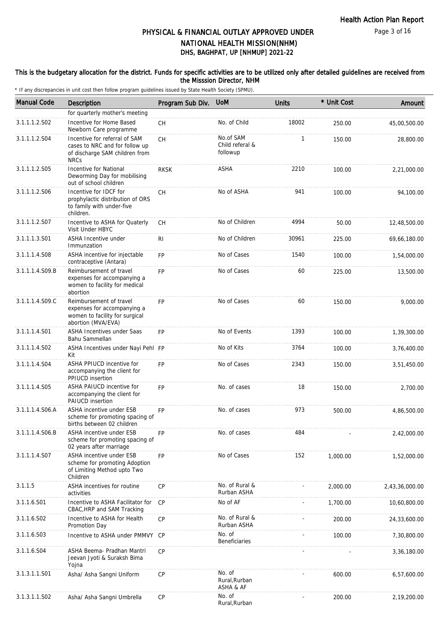#### This is the budgetary allocation for the district. Funds for specific activities are to be utilized only after detailed guidelines are received from the Misssion Director, NHM

| <b>Manual Code</b> | Description                                                                                                      | Program Sub Div. | <b>UoM</b>                               | <b>Units</b> | * Unit Cost | Amount         |
|--------------------|------------------------------------------------------------------------------------------------------------------|------------------|------------------------------------------|--------------|-------------|----------------|
|                    | for quarterly mother's meeting                                                                                   |                  |                                          |              |             |                |
| 3.1.1.1.2.S02      | Incentive for Home Based<br>Newborn Care programme                                                               | CH               | No. of Child                             | 18002        | 250.00      | 45,00,500.00   |
| 3.1.1.1.2.S04      | Incentive for referral of SAM<br>cases to NRC and for follow up<br>of discharge SAM children from<br><b>NRCs</b> | <b>CH</b>        | No.of SAM<br>Child referal &<br>followup | $\mathbf{1}$ | 150.00      | 28,800.00      |
| 3.1.1.1.2.S05      | Incentive for National<br>Deworming Day for mobilising<br>out of school children                                 | <b>RKSK</b>      | ASHA                                     | 2210         | 100.00      | 2,21,000.00    |
| 3.1.1.1.2.S06      | Incentive for IDCF for<br>prophylactic distribution of ORS<br>to family with under-five<br>children.             | <b>CH</b>        | No of ASHA                               | 941          | 100.00      | 94,100.00      |
| 3.1.1.1.2.S07      | Incentive to ASHA for Quaterly<br>Visit Under HBYC                                                               | СH               | No of Children                           | 4994         | 50.00       | 12,48,500.00   |
| 3.1.1.1.3.S01      | ASHA Incentive under<br>Immunzation                                                                              | <b>RI</b>        | No of Children                           | 30961        | 225.00      | 69,66,180.00   |
| 3.1.1.1.4.S08      | ASHA incentive for injectable<br>contraceptive (Antara)                                                          | <b>FP</b>        | No of Cases                              | 1540         | 100.00      | 1,54,000.00    |
| 3.1.1.1.4.S09.B    | Reimbursement of travel<br>expenses for accompanying a<br>women to facility for medical<br>abortion              | <b>FP</b>        | No of Cases                              | 60           | 225.00      | 13,500.00      |
| 3.1.1.1.4.S09.C    | Reimbursement of travel<br>expenses for accompanying a<br>women to facility for surgical<br>abortion (MVA/EVA)   | <b>FP</b>        | No of Cases                              | 60           | 150.00      | 9,000.00       |
| 3.1.1.1.4.S01      | <b>ASHA Incentives under Saas</b><br>Bahu Sammellan                                                              | <b>FP</b>        | No of Events                             | 1393         | 100.00      | 1,39,300.00    |
| 3.1.1.1.4.S02      | ASHA Incentives under Nayi Pehl FP<br>Kit                                                                        |                  | No of Kits                               | 3764         | 100.00      | 3,76,400.00    |
| 3.1.1.1.4.S04      | ASHA PPIUCD incentive for<br>accompanying the client for<br>PPIUCD insertion                                     | <b>FP</b>        | No of Cases                              | 2343         | 150.00      | 3,51,450.00    |
| 3.1.1.1.4.S05      | ASHA PAIUCD incentive for<br>accompanying the client for<br><b>PAIUCD</b> insertion                              | <b>FP</b>        | No. of cases                             | 18           | 150.00      | 2,700.00       |
| 3.1.1.1.4.S06.A    | ASHA incentive under ESB<br>scheme for promoting spacing of<br>births between 02 children                        | <b>FP</b>        | No. of cases                             | 973          | 500.00      | 4,86,500.00    |
| 3.1.1.1.4.S06.B    | ASHA incentive under ESB<br>scheme for promoting spacing of<br>02 years after marriage                           | <b>FP</b>        | No. of cases                             | 484          |             | 2,42,000.00    |
| 3.1.1.1.4.S07      | <b>ASHA incentive under ESB</b><br>scheme for promoting Adoption<br>of Limiting Method upto Two<br>Children      | <b>FP</b>        | No of Cases                              | 152          | 1,000.00    | 1,52,000.00    |
| 3.1.1.5            | ASHA incentives for routine<br>activities                                                                        | <b>CP</b>        | No. of Rural &<br>Rurban ASHA            |              | 2,000.00    | 2,43,36,000.00 |
| 3.1.1.6.S01        | Incentive to ASHA Facilitator for<br>CBAC, HRP and SAM Tracking                                                  | <b>CP</b>        | No of AF                                 |              | 1,700.00    | 10,60,800.00   |
| 3.1.1.6.S02        | Incentive to ASHA for Health<br>Promotion Day                                                                    | СP               | No. of Rural &<br>Rurban ASHA            |              | 200.00      | 24,33,600.00   |
| 3.1.1.6.S03        | Incentive to ASHA under PMMVY                                                                                    | CP               | No. of<br><b>Beneficiaries</b>           |              | 100.00      | 7,30,800.00    |
| 3.1.1.6.S04        | ASHA Beema- Pradhan Mantri<br>Jeevan Jyoti & Suraksh Bima<br>Yojna                                               | CP               |                                          |              |             | 3,36,180.00    |
| 3.1.3.1.1.S01      | Asha/ Asha Sangni Uniform                                                                                        | CP               | No. of<br>Rural, Rurban<br>ASHA & AF     |              | 600.00      | 6,57,600.00    |
| 3.1.3.1.1.S02      | Asha/ Asha Sangni Umbrella                                                                                       | CP               | No. of<br>Rural, Rurban                  |              | 200.00      | 2,19,200.00    |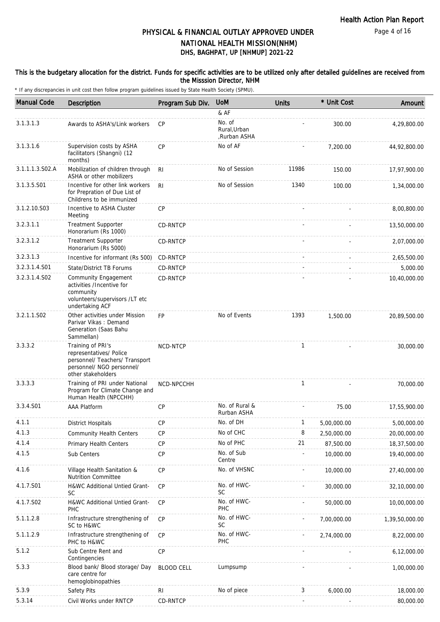#### This is the budgetary allocation for the district. Funds for specific activities are to be utilized only after detailed guidelines are received from the Misssion Director, NHM

| <b>Manual Code</b> | Description                                                                                                                       | Program Sub Div.  | <b>UoM</b>                             | Units        | * Unit Cost | Amount         |
|--------------------|-----------------------------------------------------------------------------------------------------------------------------------|-------------------|----------------------------------------|--------------|-------------|----------------|
|                    |                                                                                                                                   |                   | & AF                                   |              |             |                |
| 3.1.3.1.3          | Awards to ASHA's/Link workers                                                                                                     | CP                | No. of<br>Rural, Urban<br>Rurban ASHA, |              | 300.00      | 4,29,800.00    |
| 3.1.3.1.6          | Supervision costs by ASHA<br>facilitators (Shangni) (12<br>months)                                                                | CP                | No of AF                               |              | 7,200.00    | 44,92,800.00   |
| 3.1.1.1.3.S02.A    | Mobilization of children through<br>ASHA or other mobilizers                                                                      | <b>RI</b>         | No of Session                          | 11986        | 150.00      | 17,97,900.00   |
| 3.1.3.5.S01        | Incentive for other link workers<br>for Prepration of Due List of<br>Childrens to be immunized                                    | R <sub>l</sub>    | No of Session                          | 1340         | 100.00      | 1,34,000.00    |
| 3.1.2.10.S03       | Incentive to ASHA Cluster<br>Meeting                                                                                              | CP                |                                        |              |             | 8,00,800.00    |
| 3.2.3.1.1          | <b>Treatment Supporter</b><br>Honorarium (Rs 1000)                                                                                | CD-RNTCP          |                                        |              |             | 13,50,000.00   |
| 3.2.3.1.2          | <b>Treatment Supporter</b><br>Honorarium (Rs 5000)                                                                                | <b>CD-RNTCP</b>   |                                        |              |             | 2,07,000.00    |
| 3.2.3.1.3          | Incentive for informant (Rs 500)                                                                                                  | CD-RNTCP          |                                        |              |             | 2,65,500.00    |
| 3.2.3.1.4.S01      | State/District TB Forums                                                                                                          | <b>CD-RNTCP</b>   |                                        |              |             | 5,000.00       |
| 3.2.3.1.4.S02      | <b>Community Engagement</b><br>activities /Incentive for<br>community<br>volunteers/supervisors /LT etc<br>undertaking ACF        | CD-RNTCP          |                                        |              |             | 10,40,000.00   |
| 3.2.1.1.S02        | Other activities under Mission<br>Parivar Vikas: Demand<br>Generation (Saas Bahu<br>Sammellan)                                    | <b>FP</b>         | No of Events                           | 1393         | 1,500.00    | 20,89,500.00   |
| 3.3.3.2            | Training of PRI's<br>representatives/ Police<br>personnel/ Teachers/ Transport<br>personnel/ NGO personnel/<br>other stakeholders | NCD-NTCP          |                                        | $\mathbf{1}$ |             | 30,000.00      |
| 3.3.3.3            | Training of PRI under National<br>Program for Climate Change and<br>Human Health (NPCCHH)                                         | NCD-NPCCHH        |                                        | $\mathbf{1}$ |             | 70,000.00      |
| 3.3.4.S01          | <b>AAA Platform</b>                                                                                                               | <b>CP</b>         | No. of Rural &<br>Rurban ASHA          |              | 75.00       | 17,55,900.00   |
| 4.1.1              | District Hospitals                                                                                                                | <b>CP</b>         | No. of DH                              | $\mathbf{1}$ | 5,00,000.00 | 5,00,000.00    |
| 4.1.3              | <b>Community Health Centers</b>                                                                                                   | <b>CP</b>         | No of CHC                              | 8            | 2,50,000.00 | 20,00,000.00   |
| 4.1.4              | Primary Health Centers                                                                                                            | CP                | No of PHC                              | 21           | 87,500.00   | 18,37,500.00   |
| 4.1.5              | Sub Centers                                                                                                                       | CP                | No. of Sub<br>Centre                   |              | 10,000.00   | 19,40,000.00   |
| 4.1.6              | Village Health Sanitation &<br>Nutrition Committee                                                                                | CP                | No. of VHSNC                           |              | 10,000.00   | 27,40,000.00   |
| 4.1.7.S01          | H&WC Additional Untied Grant-<br><b>SC</b>                                                                                        | <b>CP</b>         | No. of HWC-<br><b>SC</b>               |              | 30,000.00   | 32,10,000.00   |
| 4.1.7.S02          | H&WC Additional Untied Grant-<br>PHC                                                                                              | CP                | No. of HWC-<br>PHC                     |              | 50,000.00   | 10,00,000.00   |
| 5.1.1.2.8          | Infrastructure strengthening of<br>SC to H&WC                                                                                     | CP                | No. of HWC-<br>SC                      |              | 7,00,000.00 | 1,39,50,000.00 |
| 5.1.1.2.9          | Infrastructure strengthening of<br>PHC to H&WC                                                                                    | <b>CP</b>         | No. of HWC-<br>PHC                     |              | 2,74,000.00 | 8,22,000.00    |
| 5.1.2              | Sub Centre Rent and<br>Contingencies                                                                                              | CP                |                                        |              |             | 6,12,000.00    |
| 5.3.3              | Blood bank/ Blood storage/ Day<br>care centre for<br>hemoglobinopathies                                                           | <b>BLOOD CELL</b> | Lumpsump                               |              |             | 1,00,000.00    |
| 5.3.9              | Safety Pits                                                                                                                       | R <sub>l</sub>    | No of piece                            | 3            | 6,000.00    | 18,000.00      |
| 5.3.14             | Civil Works under RNTCP                                                                                                           | CD-RNTCP          |                                        |              |             | 80,000.00      |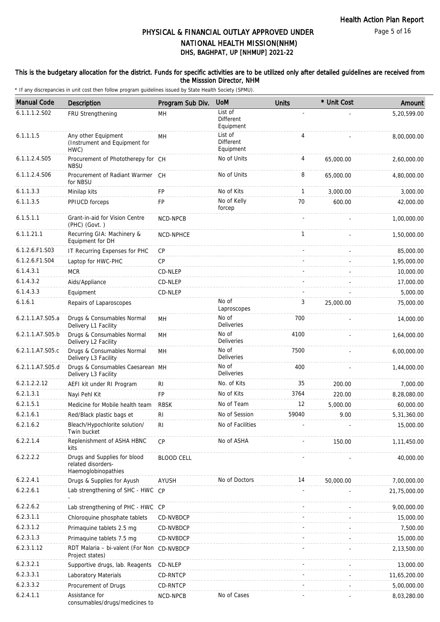#### This is the budgetary allocation for the district. Funds for specific activities are to be utilized only after detailed guidelines are received from the Misssion Director, NHM

| <b>Manual Code</b> | Description                                                               | Program Sub Div.  | <b>UoM</b>                               | <b>Units</b>   | * Unit Cost | Amount       |
|--------------------|---------------------------------------------------------------------------|-------------------|------------------------------------------|----------------|-------------|--------------|
| 6.1.1.1.2.S02      | FRU Strengthening                                                         | MН                | List of<br>Different<br>Equipment        |                |             | 5,20,599.00  |
| 6.1.1.1.5          | Any other Equipment<br>(Instrument and Equipment for<br>HWC)              | <b>MH</b>         | List of<br><b>Different</b><br>Equipment | $\overline{4}$ |             | 8,00,000.00  |
| 6.1.1.2.4.S05      | Procurement of Phototherepy for CH<br><b>NBSU</b>                         |                   | No of Units                              | 4              | 65,000.00   | 2,60,000.00  |
| 6.1.1.2.4.S06      | Procurement of Radiant Warmer CH<br>for NBSU                              |                   | No of Units                              | 8              | 65,000.00   | 4,80,000.00  |
| 6.1.1.3.3          | Minilap kits                                                              | FP                | No of Kits                               | $\mathbf{1}$   | 3,000.00    | 3,000.00     |
| 6.1.1.3.5          | PPIUCD forceps                                                            | FP                | No of Kelly<br>forcep                    | 70             | 600.00      | 42,000.00    |
| 6.1.5.1.1          | Grant-in-aid for Vision Centre<br>(PHC) (Govt.)                           | <b>NCD-NPCB</b>   |                                          |                |             | 1,00,000.00  |
| 6.1.1.21.1         | Recurring GIA: Machinery &<br>Equipment for DH                            | NCD-NPHCE         |                                          | $\mathbf{1}$   |             | 1,50,000.00  |
| 6.1.2.6.F1.S03     | IT Recurring Expenses for PHC                                             | <b>CP</b>         |                                          |                |             | 85,000.00    |
| 6.1.2.6.F1.S04     | Laptop for HWC-PHC                                                        | CP                |                                          |                |             | 1,95,000.00  |
| 6.1.4.3.1          | <b>MCR</b>                                                                | CD-NLEP           |                                          |                |             | 10,000.00    |
| 6.1.4.3.2          | Aids/Appliance                                                            | CD-NLEP           |                                          |                |             | 17,000.00    |
| 6.1.4.3.3          | Equipment                                                                 | CD-NLEP           |                                          |                |             | 5,000.00     |
| 6.1.6.1            | Repairs of Laparoscopes                                                   |                   | No of<br>Laproscopes                     | 3              | 25,000.00   | 75,000.00    |
| 6.2.1.1.A7.S05.a   | Drugs & Consumables Normal<br>Delivery L1 Facility                        | MH                | No of<br>Deliveries                      | 700            |             | 14,000.00    |
| 6.2.1.1.A7.S05.b   | Drugs & Consumables Normal<br>Delivery L2 Facility                        | MH                | No of<br>Deliveries                      | 4100           |             | 1,64,000.00  |
| 6.2.1.1.A7.S05.c   | Drugs & Consumables Normal<br>Delivery L3 Facility                        | <b>MH</b>         | No of<br>Deliveries                      | 7500           |             | 6,00,000.00  |
| 6.2.1.1.A7.S05.d   | Drugs & Consumables Caesarean MH<br>Delivery L3 Facility                  |                   | No of<br><b>Deliveries</b>               | 400            |             | 1,44,000.00  |
| 6.2.1.2.2.12       | AEFI kit under RI Program                                                 | RI                | No. of Kits                              | 35             | 200.00      | 7,000.00     |
| 6.2.1.3.1          | Nayi Pehl Kit                                                             | <b>FP</b>         | No of Kits                               | 3764           | 220.00      | 8,28,080.00  |
| 6.2.1.5.1          | Medicine for Mobile health team                                           | <b>RBSK</b>       | No of Team                               | 12             | 5,000.00    | 60,000.00    |
| 6.2.1.6.1          | Red/Black plastic bags et                                                 | RI                | No of Session                            | 59040          | 9.00        | 5,31,360.00  |
| 6.2.1.6.2          | Bleach/Hypochlorite solution/<br>Twin bucket                              | RI                | No of Facilities                         |                |             | 15,000.00    |
| 6.2.2.1.4          | Replenishment of ASHA HBNC<br>kits                                        | CP                | No of ASHA                               |                | 150.00      | 1,11,450.00  |
| 6.2.2.2.2          | Drugs and Supplies for blood<br>related disorders-<br>Haemoglobinopathies | <b>BLOOD CELL</b> |                                          |                |             | 40,000.00    |
| 6.2.2.4.1          | Drugs & Supplies for Ayush                                                | AYUSH             | No of Doctors                            | 14             | 50,000.00   | 7,00,000.00  |
| 6.2.2.6.1          | Lab strengthening of SHC - HWC CP                                         |                   |                                          |                |             | 21,75,000.00 |
| 6.2.2.6.2          | Lab strengthening of PHC - HWC CP                                         |                   |                                          |                |             | 9,00,000.00  |
| 6.2.3.1.1          | Chloroquine phosphate tablets                                             | CD-NVBDCP         |                                          |                |             | 15,000.00    |
| 6.2.3.1.2          | Primaquine tablets 2.5 mg                                                 | CD-NVBDCP         |                                          |                |             | 7,500.00     |
| 6.2.3.1.3          | Primaquine tablets 7.5 mg                                                 | CD-NVBDCP         |                                          |                |             | 15,000.00    |
| 6.2.3.1.12         | RDT Malaria - bi-valent (For Non CD-NVBDCP<br>Project states)             |                   |                                          |                |             | 2,13,500.00  |
| 6.2.3.2.1          | Supportive drugs, lab. Reagents                                           | CD-NLEP           |                                          |                |             | 13,000.00    |
| 6.2.3.3.1          | Laboratory Materials                                                      | CD-RNTCP          |                                          |                |             | 11,65,200.00 |
| 6.2.3.3.2          | Procurement of Drugs                                                      | CD-RNTCP          |                                          |                |             | 5,00,000.00  |
| 6.2.4.1.1          | Assistance for<br>consumables/drugs/medicines to                          | NCD-NPCB          | No of Cases                              |                |             | 8,03,280.00  |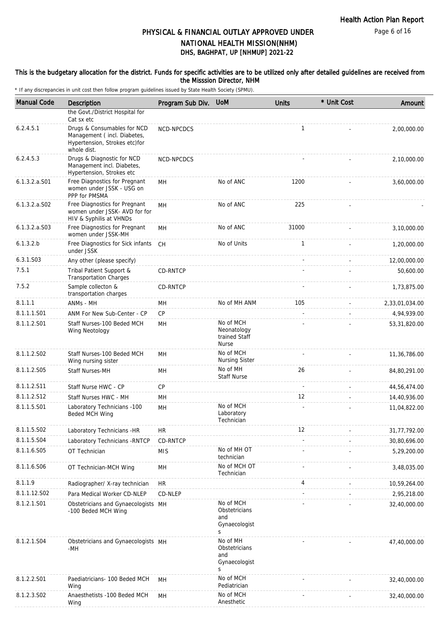#### This is the budgetary allocation for the district. Funds for specific activities are to be utilized only after detailed guidelines are received from the Misssion Director, NHM

| <b>Manual Code</b> | Description                                                                               | Program Sub Div. UoM |                                                           | <b>Units</b> | * Unit Cost | Amount         |
|--------------------|-------------------------------------------------------------------------------------------|----------------------|-----------------------------------------------------------|--------------|-------------|----------------|
|                    | the Govt./District Hospital for                                                           |                      |                                                           |              |             |                |
| 6.2.4.5.1          | Cat sx etc<br>Drugs & Consumables for NCD<br>Management (incl. Diabetes,                  | NCD-NPCDCS           |                                                           | 1            |             | 2,00,000.00    |
|                    | Hypertension, Strokes etc)for<br>whole dist.                                              |                      |                                                           |              |             |                |
| 6.2.4.5.3          | Drugs & Diagnostic for NCD<br>Management incl. Diabetes,<br>Hypertension, Strokes etc     | NCD-NPCDCS           |                                                           |              |             | 2,10,000.00    |
| $6.1.3.2.a.$ S01   | Free Diagnostics for Pregnant<br>women under JSSK - USG on<br>PPP for PMSMA               | MН                   | No of ANC                                                 | 1200         |             | 3,60,000.00    |
| 6.1.3.2.a.S02      | Free Diagnostics for Pregnant<br>women under JSSK- AVD for for<br>HIV & Syphilis at VHNDs | MH                   | No of ANC                                                 | 225          |             |                |
| 6.1.3.2.a.S03      | Free Diagnostics for Pregnant<br>women under JSSK-MH                                      | MH                   | No of ANC                                                 | 31000        |             | 3,10,000.00    |
| 6.1.3.2.b          | Free Diagnostics for Sick infants<br>under JSSK                                           | <b>CH</b>            | No of Units                                               | $\mathbf{1}$ |             | 1,20,000.00    |
| 6.3.1.S03          | Any other (please specify)                                                                |                      |                                                           |              |             | 12,00,000.00   |
| 7.5.1              | Tribal Patient Support &<br><b>Transportation Charges</b>                                 | CD-RNTCP             |                                                           |              |             | 50,600.00      |
| 7.5.2              | Sample collecton &<br>transportation charges                                              | CD-RNTCP             |                                                           |              |             | 1,73,875.00    |
| 8.1.1.1            | ANMs - MH                                                                                 | MН                   | No of MH ANM                                              | 105          |             | 2,33,01,034.00 |
| 8.1.1.1.S01        | ANM For New Sub-Center - CP                                                               | <b>CP</b>            |                                                           |              |             | 4,94,939.00    |
| 8.1.1.2.S01        | Staff Nurses-100 Beded MCH<br>Wing Neotology                                              | MH                   | No of MCH<br>Neonatology<br>trained Staff<br><b>Nurse</b> |              |             | 53,31,820.00   |
| 8.1.1.2.S02        | Staff Nurses-100 Beded MCH<br>Wing nursing sister                                         | MH                   | No of MCH<br><b>Nursing Sister</b>                        |              |             | 11,36,786.00   |
| 8.1.1.2.S05        | Staff Nurses-MH                                                                           | MH                   | No of MH<br><b>Staff Nurse</b>                            | 26           |             | 84,80,291.00   |
| 8.1.1.2.S11        | Staff Nurse HWC - CP                                                                      | <b>CP</b>            |                                                           |              |             | 44,56,474.00   |
| 8.1.1.2.S12        | Staff Nurses HWC - MH                                                                     | MH                   |                                                           | 12           |             | 14,40,936.00   |
| 8.1.1.5.S01        | Laboratory Technicians -100<br>Beded MCH Wing                                             | MH                   | No of MCH<br>Laboratory<br>Technician                     |              |             | 11,04,822.00   |
| 8.1.1.5.S02        | Laboratory Technicians -HR                                                                | <b>HR</b>            |                                                           | 12           |             | 31,77,792.00   |
| 8.1.1.5.S04        | Laboratory Technicians - RNTCP                                                            | CD-RNTCP             |                                                           |              |             | 30,80,696.00   |
| 8.1.1.6.S05        | OT Technician                                                                             | <b>MIS</b>           | No of MH OT<br>technician                                 |              |             | 5,29,200.00    |
| 8.1.1.6.S06        | OT Technician-MCH Wing                                                                    | MН                   | No of MCH OT<br>Technician                                |              |             | 3,48,035.00    |
| 8.1.1.9            | Radiographer/ X-ray technician                                                            | <b>HR</b>            |                                                           | 4            |             | 10,59,264.00   |
| 8.1.1.12.S02       | Para Medical Worker CD-NLEP                                                               | CD-NLEP              |                                                           |              |             | 2,95,218.00    |
| 8.1.2.1.S01        | Obstetricians and Gynaecologists MH<br>-100 Beded MCH Wing                                |                      | No of MCH<br>Obstetricians<br>and<br>Gynaecologist<br>S   |              |             | 32,40,000.00   |
| 8.1.2.1.S04        | Obstetricians and Gynaecologists MH<br>-MH                                                |                      | No of MH<br>Obstetricians<br>and<br>Gynaecologist<br>S    |              |             | 47,40,000.00   |
| 8.1.2.2.S01        | Paediatricians- 100 Beded MCH<br>Wing                                                     | MH                   | No of MCH<br>Pediatrician                                 |              |             | 32,40,000.00   |
| 8.1.2.3.S02        | Anaesthetists -100 Beded MCH<br>Wing                                                      | MH                   | No of MCH<br>Anesthetic                                   |              |             | 32,40,000.00   |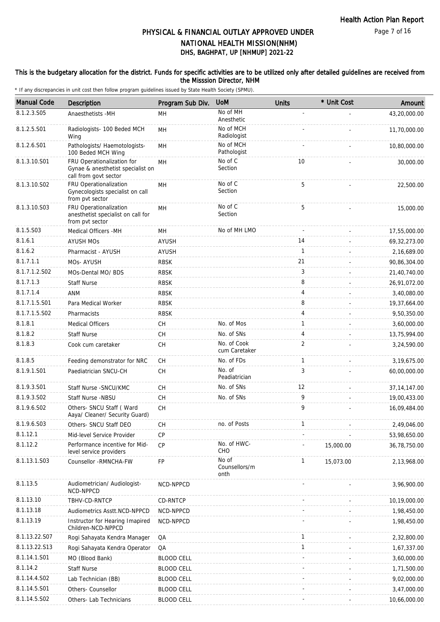#### This is the budgetary allocation for the district. Funds for specific activities are to be utilized only after detailed guidelines are received from the Misssion Director, NHM

| <b>Manual Code</b> | Description                                                                              | Program Sub Div.  | <b>UoM</b>                     | <b>Units</b> | * Unit Cost | Amount         |
|--------------------|------------------------------------------------------------------------------------------|-------------------|--------------------------------|--------------|-------------|----------------|
| 8.1.2.3.S05        | Anaesthetists -MH                                                                        | MH                | No of MH<br>Anesthetic         |              |             | 43,20,000.00   |
| 8.1.2.5.S01        | Radiologists- 100 Beded MCH<br>Wing                                                      | MH                | No of MCH<br>Radiologist       |              |             | 11,70,000.00   |
| 8.1.2.6.S01        | Pathologists/ Haemotologists-<br>100 Beded MCH Wing                                      | MН                | No of MCH<br>Pathologist       |              |             | 10,80,000.00   |
| 8.1.3.10.S01       | FRU Operationalization for<br>Gynae & anesthetist specialist on<br>call from govt sector | MH                | No of C<br>Section             | 10           |             | 30,000.00      |
| 8.1.3.10.S02       | FRU Operationalization<br>Gynecologists specialist on call<br>from pvt sector            | MН                | No of C<br>Section             | 5            |             | 22,500.00      |
| 8.1.3.10.S03       | FRU Operationalization<br>anesthetist specialist on call for<br>from pvt sector          | MН                | No of C<br>Section             | 5            |             | 15,000.00      |
| 8.1.5.S03          | Medical Officers - MH                                                                    | MH                | No of MH LMO                   |              |             | 17,55,000.00   |
| 8.1.6.1            | <b>AYUSH MOS</b>                                                                         | <b>AYUSH</b>      |                                | 14           |             | 69, 32, 273.00 |
| 8.1.6.2            | Pharmacist - AYUSH                                                                       | AYUSH             |                                | $\mathbf{1}$ |             | 2,16,689.00    |
| 8.1.7.1.1          | MOs-AYUSH                                                                                | <b>RBSK</b>       |                                | 21           |             | 90,86,304.00   |
| 8.1.7.1.2.S02      | MOs-Dental MO/ BDS                                                                       | <b>RBSK</b>       |                                | 3            |             | 21,40,740.00   |
| 8.1.7.1.3          | Staff Nurse                                                                              | <b>RBSK</b>       |                                | 8            |             | 26,91,072.00   |
| 8.1.7.1.4          | <b>ANM</b>                                                                               | <b>RBSK</b>       |                                | 4            |             | 3,40,080.00    |
| 8.1.7.1.5.S01      | Para Medical Worker                                                                      | <b>RBSK</b>       |                                | 8            |             | 19,37,664.00   |
| 8.1.7.1.5.S02      | Pharmacists                                                                              | <b>RBSK</b>       |                                | 4            |             | 9,50,350.00    |
| 8.1.8.1            | <b>Medical Officers</b>                                                                  | CH                | No. of Mos                     | $\mathbf{1}$ |             | 3,60,000.00    |
| 8.1.8.2            | <b>Staff Nurse</b>                                                                       | <b>CH</b>         | No. of SNs                     | 4            |             | 13,75,994.00   |
| 8.1.8.3            | Cook cum caretaker                                                                       | CH                | No. of Cook<br>cum Caretaker   | 2            |             | 3,24,590.00    |
| 8.1.8.5            | Feeding demonstrator for NRC                                                             | СH                | No. of FDs                     | 1            |             | 3,19,675.00    |
| 8.1.9.1.S01        | Paediatrician SNCU-CH                                                                    | CH                | No. of<br>Peadiatrician        | 3            |             | 60,00,000.00   |
| 8.1.9.3.S01        | Staff Nurse - SNCU/KMC                                                                   | <b>CH</b>         | No. of SNs                     | 12           |             | 37, 14, 147.00 |
| 8.1.9.3.SO2        | Staff Nurse -NBSU                                                                        | <b>CH</b>         | No. of SNs                     | 9            |             | 19,00,433.00   |
| 8.1.9.6.S02        | Others- SNCU Staff ( Ward<br>Aaya/ Cleaner/ Security Guard)                              | CH                |                                | 9            |             | 16,09,484.00   |
| 8.1.9.6.S03        | Others- SNCU Staff DEO                                                                   | <b>CH</b>         | no. of Posts                   | 1            |             | 2,49,046.00    |
| 8.1.12.1           | Mid-level Service Provider                                                               | CP                |                                |              |             | 53,98,650.00   |
| 8.1.12.2           | Performance incentive for Mid-<br>level service providers                                | CP                | No. of HWC-<br><b>CHO</b>      |              | 15,000.00   | 36,78,750.00   |
| 8.1.13.1.S03       | Counsellor - RMNCHA-FW                                                                   | FP                | No of<br>Counsellors/m<br>onth | 1            | 15,073.00   | 2,13,968.00    |
| 8.1.13.5           | Audiometrician/ Audiologist-<br>NCD-NPPCD                                                | NCD-NPPCD         |                                |              |             | 3,96,900.00    |
| 8.1.13.10          | TBHV-CD-RNTCP                                                                            | CD-RNTCP          |                                |              |             | 10,19,000.00   |
| 8.1.13.18          | Audiometrics Asstt.NCD-NPPCD                                                             | NCD-NPPCD         |                                |              |             | 1,98,450.00    |
| 8.1.13.19          | Instructor for Hearing Imapired<br>Children-NCD-NPPCD                                    | NCD-NPPCD         |                                |              |             | 1,98,450.00    |
| 8.1.13.22.S07      | Rogi Sahayata Kendra Manager                                                             | QA                |                                | $\mathbf{1}$ |             | 2,32,800.00    |
| 8.1.13.22.S13      | Rogi Sahayata Kendra Operator                                                            | QA                |                                | 1            |             | 1,67,337.00    |
| 8.1.14.1.S01       | MO (Blood Bank)                                                                          | <b>BLOOD CELL</b> |                                |              |             | 3,60,000.00    |
| 8.1.14.2           | <b>Staff Nurse</b>                                                                       | <b>BLOOD CELL</b> |                                |              |             | 1,71,500.00    |
| 8.1.14.4.S02       | Lab Technician (BB)                                                                      | <b>BLOOD CELL</b> |                                |              |             | 9,02,000.00    |
| 8.1.14.5.S01       | Others- Counsellor                                                                       | <b>BLOOD CELL</b> |                                |              |             | 3,47,000.00    |
| 8.1.14.5.S02       | Others- Lab Technicians                                                                  | <b>BLOOD CELL</b> |                                |              |             | 10,66,000.00   |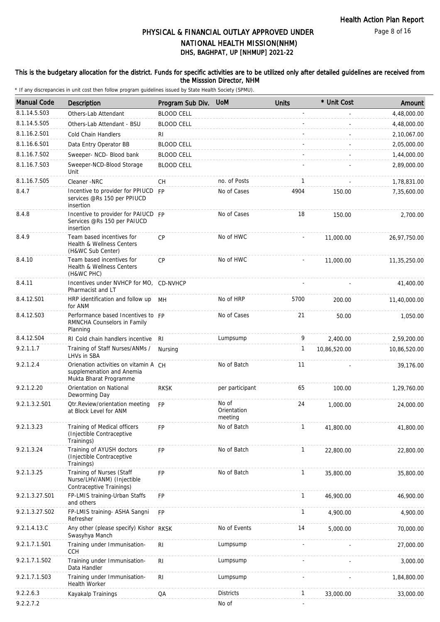#### This is the budgetary allocation for the district. Funds for specific activities are to be utilized only after detailed guidelines are received from the Misssion Director, NHM

| <b>Manual Code</b> | <b>Description</b>                                                                           | Program Sub Div.  | <b>UoM</b>                      | <b>Units</b> | * Unit Cost  | Amount       |
|--------------------|----------------------------------------------------------------------------------------------|-------------------|---------------------------------|--------------|--------------|--------------|
| 8.1.14.5.S03       | Others-Lab Attendant                                                                         | <b>BLOOD CELL</b> |                                 |              |              | 4,48,000.00  |
| 8.1.14.5.S05       | Others-Lab Attendant - BSU                                                                   | <b>BLOOD CELL</b> |                                 |              |              | 4,48,000.00  |
| 8.1.16.2.S01       | Cold Chain Handlers                                                                          | RI.               |                                 |              |              | 2,10,067.00  |
| 8.1.16.6.S01       | Data Entry Operator BB                                                                       | <b>BLOOD CELL</b> |                                 |              |              | 2,05,000.00  |
| 8.1.16.7.S02       | Sweeper- NCD- Blood bank                                                                     | <b>BLOOD CELL</b> |                                 |              |              | 1,44,000.00  |
| 8.1.16.7.S03       | Sweeper-NCD-Blood Storage<br>Unit                                                            | <b>BLOOD CELL</b> |                                 |              |              | 2,89,000.00  |
| 8.1.16.7.S05       | Cleaner -NRC                                                                                 | СH                | no. of Posts                    | 1            |              | 1,78,831.00  |
| 8.4.7              | Incentive to provider for PPIUCD FP<br>services @Rs 150 per PPIUCD<br>insertion              |                   | No of Cases                     | 4904         | 150.00       | 7,35,600.00  |
| 8.4.8              | Incentive to provider for PAIUCD FP<br>Services @Rs 150 per PAIUCD<br>insertion              |                   | No of Cases                     | 18           | 150.00       | 2,700.00     |
| 8.4.9              | Team based incentives for<br>Health & Wellness Centers<br>(H&WC Sub Center)                  | CP                | No of HWC                       |              | 11,000.00    | 26,97,750.00 |
| 8.4.10             | Team based incentives for<br>Health & Wellness Centers<br>(H&WC PHC)                         | CP                | No of HWC                       |              | 11,000.00    | 11,35,250.00 |
| 8.4.11             | Incentives under NVHCP for MO, CD-NVHCP<br>Pharmacist and LT                                 |                   |                                 |              |              | 41,400.00    |
| 8.4.12.S01         | HRP identification and follow up MH<br>for ANM                                               |                   | No of HRP                       | 5700         | 200.00       | 11,40,000.00 |
| 8.4.12.S03         | Performance based Incentives to FP<br>RMNCHA Counselors in Family<br>Planning                |                   | No of Cases                     | 21           | 50.00        | 1,050.00     |
| 8.4.12.S04         | RI Cold chain handlers incentive RI                                                          |                   | Lumpsump                        | 9            | 2,400.00     | 2,59,200.00  |
| 9.2.1.1.7          | Training of Staff Nurses/ANMs /<br>LHVs in SBA                                               | Nursing           |                                 | 1            | 10,86,520.00 | 10,86,520.00 |
| 9.2.1.2.4          | Orienation activities on vitamin A CH<br>supplemenation and Anemia<br>Mukta Bharat Programme |                   | No of Batch                     | 11           |              | 39,176.00    |
| 9.2.1.2.20         | Orientation on National<br>Deworming Day                                                     | <b>RKSK</b>       | per participant                 | 65           | 100.00       | 1,29,760.00  |
| 9.2.1.3.2.S01      | Otr.Review/orientation meeting<br>at Block Level for ANM                                     | <b>FP</b>         | No of<br>Orientation<br>meeting | 24           | 1,000.00     | 24,000.00    |
| 9.2.1.3.23         | Training of Medical officers<br>(Injectible Contraceptive<br>Trainings)                      | FP                | No of Batch                     | $\mathbf{1}$ | 41,800.00    | 41,800.00    |
| 9.2.1.3.24         | Training of AYUSH doctors<br>(Injectible Contraceptive<br>Trainings)                         | <b>FP</b>         | No of Batch                     | $\mathbf{1}$ | 22,800.00    | 22,800.00    |
| 9.2.1.3.25         | Training of Nurses (Staff<br>Nurse/LHV/ANM) (Injectible<br>Contraceptive Trainings)          | <b>FP</b>         | No of Batch                     | 1            | 35,800.00    | 35,800.00    |
| 9.2.1.3.27.S01     | FP-LMIS training-Urban Staffs<br>and others                                                  | FP                |                                 | $\mathbf{1}$ | 46,900.00    | 46,900.00    |
| 9.2.1.3.27.S02     | FP-LMIS training- ASHA Sangni<br>Refresher                                                   | <b>FP</b>         |                                 | $\mathbf{1}$ | 4,900.00     | 4,900.00     |
| 9.2.1.4.13.C       | Any other (please specify) Kishor RKSK<br>Swasyhya Manch                                     |                   | No of Events                    | 14           | 5,000.00     | 70,000.00    |
| 9.2.1.7.1.S01      | Training under Immunisation-<br><b>CCH</b>                                                   | RI                | Lumpsump                        |              |              | 27,000.00    |
| 9.2.1.7.1.S02      | Training under Immunisation-<br>Data Handler                                                 | $\mathsf{RI}$     | Lumpsump                        |              |              | 3,000.00     |
| 9.2.1.7.1.S03      | Training under Immunisation-<br>Health Worker                                                | R <sub>1</sub>    | Lumpsump                        |              |              | 1,84,800.00  |
| 9.2.2.6.3          | Kayakalp Trainings                                                                           | QA                | <b>Districts</b>                | $\mathbf{1}$ | 33,000.00    | 33,000.00    |
| 9.2.2.7.2          |                                                                                              |                   | No of                           |              |              |              |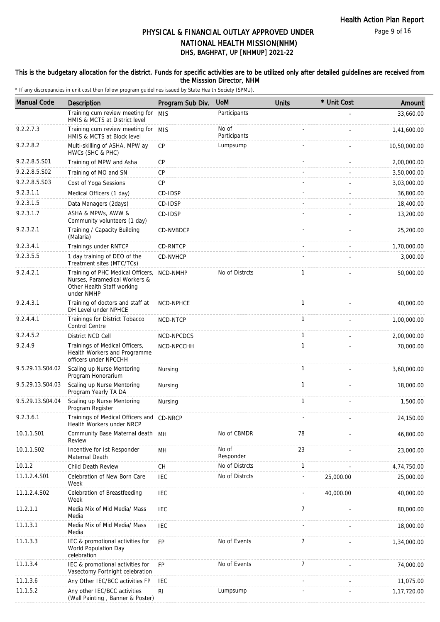#### This is the budgetary allocation for the district. Funds for specific activities are to be utilized only after detailed guidelines are received from the Misssion Director, NHM

| <b>Manual Code</b> | Description                                                                                                    | Program Sub Div. | <b>UoM</b>            | <b>Units</b>   | * Unit Cost | Amount       |
|--------------------|----------------------------------------------------------------------------------------------------------------|------------------|-----------------------|----------------|-------------|--------------|
|                    | Training cum review meeting for MIS<br>HMIS & MCTS at District level                                           |                  | Participants          |                |             | 33,660.00    |
| 9.2.2.7.3          | Training cum review meeting for MIS<br>HMIS & MCTS at Block level                                              |                  | No of<br>Participants |                |             | 1,41,600.00  |
| 9.2.2.8.2          | Multi-skilling of ASHA, MPW ay<br>HWCs (SHC & PHC)                                                             | <b>CP</b>        | Lumpsump              |                |             | 10,50,000.00 |
| 9.2.2.8.5.S01      | Training of MPW and Asha                                                                                       | CP               |                       |                |             | 2,00,000.00  |
| 9.2.2.8.5.S02      | Training of MO and SN                                                                                          | <b>CP</b>        |                       |                |             | 3,50,000.00  |
| 9.2.2.8.5.S03      | Cost of Yoga Sessions                                                                                          | CP               |                       |                |             | 3,03,000.00  |
| 9.2.3.1.1          | Medical Officers (1 day)                                                                                       | CD-IDSP          |                       |                |             | 36,800.00    |
| 9.2.3.1.5          | Data Managers (2days)                                                                                          | CD-IDSP          |                       |                |             | 18,400.00    |
| 9.2.3.1.7          | ASHA & MPWs, AWW &<br>Community volunteers (1 day)                                                             | CD-IDSP          |                       |                |             | 13,200.00    |
| 9.2.3.2.1          | Training / Capacity Building<br>(Malaria)                                                                      | CD-NVBDCP        |                       |                |             | 25,200.00    |
| 9.2.3.4.1          | Trainings under RNTCP                                                                                          | CD-RNTCP         |                       |                |             | 1,70,000.00  |
| 9.2.3.5.5          | 1 day training of DEO of the<br>Treatment sites (MTC/TCs)                                                      | CD-NVHCP         |                       |                |             | 3,000.00     |
| 9.2.4.2.1          | Training of PHC Medical Officers,<br>Nurses, Paramedical Workers &<br>Other Health Staff working<br>under NMHP | <b>NCD-NMHP</b>  | No of Distrcts        | 1              |             | 50,000.00    |
| 9.2.4.3.1          | Training of doctors and staff at<br>DH Level under NPHCE                                                       | NCD-NPHCE        |                       | $\mathbf{1}$   |             | 40,000.00    |
| 9.2.4.4.1          | Trainings for District Tobacco<br>Control Centre                                                               | NCD-NTCP         |                       | $\mathbf{1}$   |             | 1,00,000.00  |
| 9.2.4.5.2          | District NCD Cell                                                                                              | NCD-NPCDCS       |                       | $\mathbf{1}$   |             | 2,00,000.00  |
| 9.2.4.9            | Trainings of Medical Officers,<br>Health Workers and Programme<br>officers under NPCCHH                        | NCD-NPCCHH       |                       | $\mathbf{1}$   |             | 70,000.00    |
| 9.5.29.13.S04.02   | Scaling up Nurse Mentoring<br>Program Honorarium                                                               | Nursing          |                       | $\mathbf{1}$   |             | 3,60,000.00  |
| 9.5.29.13.S04.03   | Scaling up Nurse Mentoring<br>Program Yearly TA DA                                                             | Nursing          |                       | $\mathbf{1}$   |             | 18,000.00    |
| 9.5.29.13.S04.04   | Scaling up Nurse Mentoring<br>Program Register                                                                 | Nursing          |                       | $\mathbf{1}$   |             | 1,500.00     |
| 9.2.3.6.1          | Trainings of Medical Officers and CD-NRCP<br>Health Workers under NRCP                                         |                  |                       |                |             | 24,150.00    |
| 10.1.1.S01         | Community Base Maternal death MH<br>Review                                                                     |                  | No of CBMDR           | 78             |             | 46,800.00    |
| 10.1.1.S02         | Incentive for 1st Responder<br>Maternal Death                                                                  | MH               | No of<br>Responder    | 23             |             | 23,000.00    |
| 10.1.2             | Child Death Review                                                                                             | CH               | No of Distrcts        | $\mathbf{1}$   |             | 4,74,750.00  |
| 11.1.2.4.S01       | Celebration of New Born Care<br>Week                                                                           | <b>IEC</b>       | No of Distrcts        |                | 25,000.00   | 25,000.00    |
| 11.1.2.4.S02       | Celebration of Breastfeeding<br>Week                                                                           | <b>IEC</b>       |                       |                | 40,000.00   | 40,000.00    |
| 11.2.1.1           | Media Mix of Mid Media/ Mass<br>Media                                                                          | <b>IEC</b>       |                       | $\overline{7}$ |             | 80,000.00    |
| 11.1.3.1           | Media Mix of Mid Media/ Mass<br>Media                                                                          | <b>IEC</b>       |                       |                |             | 18,000.00    |
| 11.1.3.3           | IEC & promotional activities for<br>World Population Day<br>celebration                                        | FP               | No of Events          | $\overline{7}$ |             | 1,34,000.00  |
| 11.1.3.4           | IEC & promotional activities for<br>Vasectomy Fortnight celebration                                            | <b>FP</b>        | No of Events          | 7              |             | 74,000.00    |
| 11.1.3.6           | Any Other IEC/BCC activities FP                                                                                | <b>IEC</b>       |                       |                |             | 11,075.00    |
| 11.1.5.2           | Any other IEC/BCC activities<br>(Wall Painting, Banner & Poster)                                               | RI               | Lumpsump              |                |             | 1,17,720.00  |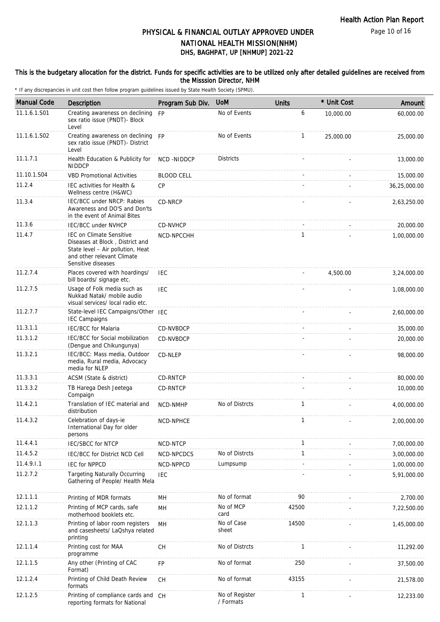#### This is the budgetary allocation for the district. Funds for specific activities are to be utilized only after detailed guidelines are received from the Misssion Director, NHM

| <b>Manual Code</b> | Description                                                                                                                                                 | Program Sub Div.  | <b>UoM</b>                  | <b>Units</b> | * Unit Cost | Amount       |
|--------------------|-------------------------------------------------------------------------------------------------------------------------------------------------------------|-------------------|-----------------------------|--------------|-------------|--------------|
| 11.1.6.1.S01       | Creating awareness on declining<br>sex ratio issue (PNDT)- Block<br>Level                                                                                   | FP                | No of Events                | 6            | 10,000.00   | 60,000.00    |
| 11.1.6.1.S02       | Creating awareness on declining FP<br>sex ratio issue (PNDT)- District<br>Level                                                                             |                   | No of Events                | $\mathbf{1}$ | 25,000.00   | 25,000.00    |
| 11.1.7.1           | Health Education & Publicity for<br><b>NIDDCP</b>                                                                                                           | NCD-NIDDCP        | <b>Districts</b>            |              |             | 13,000.00    |
| 11.10.1.S04        | <b>VBD Promotional Activities</b>                                                                                                                           | <b>BLOOD CELL</b> |                             |              |             | 15,000.00    |
| 11.2.4             | IEC activities for Health &<br>Wellness centre (H&WC)                                                                                                       | <b>CP</b>         |                             |              |             | 36,25,000.00 |
| 11.3.4             | IEC/BCC under NRCP: Rabies<br>Awareness and DO'S and Don'ts<br>in the event of Animal Bites                                                                 | CD-NRCP           |                             |              |             | 2,63,250.00  |
| 11.3.6             | IEC/BCC under NVHCP                                                                                                                                         | CD-NVHCP          |                             |              |             | 20,000.00    |
| 11.4.7             | <b>IEC on Climate Sensitive</b><br>Diseases at Block, District and<br>State level - Air pollution, Heat<br>and other relevant Climate<br>Sensitive diseases | NCD-NPCCHH        |                             | $\mathbf{1}$ |             | 1,00,000.00  |
| 11.2.7.4           | Places covered with hoardings/<br>bill boards/ signage etc.                                                                                                 | <b>IEC</b>        |                             |              | 4,500.00    | 3,24,000.00  |
| 11.2.7.5           | Usage of Folk media such as<br>Nukkad Natak/ mobile audio<br>visual services/ local radio etc.                                                              | <b>IEC</b>        |                             |              |             | 1,08,000.00  |
| 11.2.7.7           | State-level IEC Campaigns/Other IEC<br><b>IEC Campaigns</b>                                                                                                 |                   |                             |              |             | 2,60,000.00  |
| 11.3.1.1           | <b>IEC/BCC</b> for Malaria                                                                                                                                  | CD-NVBDCP         |                             |              |             | 35,000.00    |
| 11.3.1.2           | IEC/BCC for Social mobilization<br>(Dengue and Chikungunya)                                                                                                 | CD-NVBDCP         |                             |              |             | 20,000.00    |
| 11.3.2.1           | IEC/BCC: Mass media, Outdoor<br>media, Rural media, Advocacy<br>media for NLEP                                                                              | CD-NLEP           |                             |              |             | 98,000.00    |
| 11.3.3.1           | ACSM (State & district)                                                                                                                                     | CD-RNTCP          |                             |              |             | 80,000.00    |
| 11.3.3.2           | TB Harega Desh Jeetega<br>Compaign                                                                                                                          | <b>CD-RNTCP</b>   |                             |              |             | 10,000.00    |
| 11.4.2.1           | Translation of IEC material and<br>distribution                                                                                                             | NCD-NMHP          | No of Distrcts              | $\mathbf{1}$ |             | 4,00,000.00  |
| 11.4.3.2           | Celebration of days-ie<br>International Day for older<br>persons                                                                                            | <b>NCD-NPHCE</b>  |                             | 1            |             | 2,00,000.00  |
| 11.4.4.1           | <b>IEC/SBCC for NTCP</b>                                                                                                                                    | NCD-NTCP          |                             | 1            |             | 7,00,000.00  |
| 11.4.5.2           | IEC/BCC for District NCD Cell                                                                                                                               | NCD-NPCDCS        | No of Distrcts              | $\mathbf{1}$ |             | 3,00,000.00  |
| 11.4.9.1.1         | <b>IEC for NPPCD</b>                                                                                                                                        | NCD-NPPCD         | Lumpsump                    |              |             | 1,00,000.00  |
| 11.2.7.2           | <b>Targeting Naturally Occurring</b><br>Gathering of People/ Health Mela                                                                                    | <b>IEC</b>        |                             |              |             | 5,91,000.00  |
| 12.1.1.1           | Printing of MDR formats                                                                                                                                     | MН                | No of format                | 90           |             | 2,700.00     |
| 12.1.1.2           | Printing of MCP cards, safe<br>motherhood booklets etc.                                                                                                     | MH                | No of MCP<br>card           | 42500        |             | 7,22,500.00  |
| 12.1.1.3           | Printing of labor room registers<br>and casesheets/ LaQshya related<br>printing                                                                             | MН                | No of Case<br>sheet         | 14500        |             | 1,45,000.00  |
| 12.1.1.4           | Printing cost for MAA<br>programme                                                                                                                          | CH                | No of Distrcts              | $\mathbf{1}$ |             | 11,292.00    |
| 12.1.1.5           | Any other (Printing of CAC<br>Format)                                                                                                                       | FP                | No of format                | 250          |             | 37,500.00    |
| 12.1.2.4           | Printing of Child Death Review<br>formats                                                                                                                   | <b>CH</b>         | No of format                | 43155        |             | 21,578.00    |
| 12.1.2.5           | Printing of compliance cards and CH<br>reporting formats for National                                                                                       |                   | No of Register<br>/ Formats | 1            |             | 12,233.00    |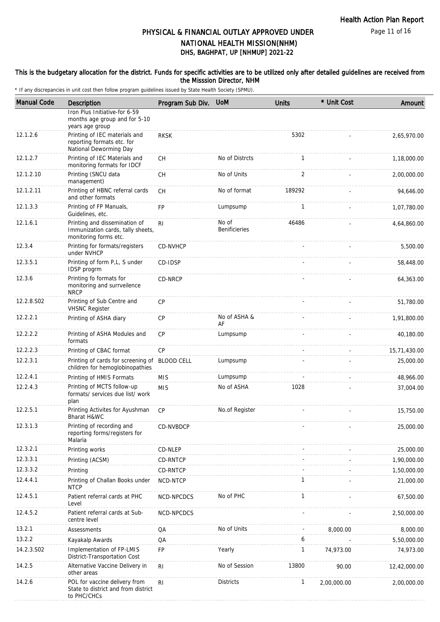#### This is the budgetary allocation for the district. Funds for specific activities are to be utilized only after detailed guidelines are received from the Misssion Director, NHM

| <b>Manual Code</b> | Description                                                                                 | Program Sub Div.  | <b>UoM</b>                    | <b>Units</b> | * Unit Cost | Amount       |
|--------------------|---------------------------------------------------------------------------------------------|-------------------|-------------------------------|--------------|-------------|--------------|
|                    | Iron Plus Initiative-for 6-59<br>months age group and for 5-10<br>years age group           |                   |                               |              |             |              |
| 12.1.2.6           | Printing of IEC materials and<br>reporting formats etc. for<br>National Deworming Day       | <b>RKSK</b>       |                               | 5302         |             | 2,65,970.00  |
| 12.1.2.7           | Printing of IEC Materials and<br>monitoring formats for IDCF                                | <b>CH</b>         | No of Distrcts                | $\mathbf{1}$ |             | 1,18,000.00  |
| 12.1.2.10          | Printing (SNCU data<br>management)                                                          | <b>CH</b>         | No of Units                   | 2            |             | 2,00,000.00  |
| 12.1.2.11          | Printing of HBNC referral cards<br>and other formats                                        | <b>CH</b>         | No of format                  | 189292       |             | 94,646.00    |
| 12.1.3.3           | Printing of FP Manuals,<br>Guidelines, etc.                                                 | <b>FP</b>         | Lumpsump                      | $\mathbf{1}$ |             | 1,07,780.00  |
| 12.1.6.1           | Printing and dissemination of<br>Immunization cards, tally sheets,<br>monitoring forms etc. | R <sub>l</sub>    | No of<br><b>Benificieries</b> | 46486        |             | 4,64,860.00  |
| 12.3.4             | Printing for formats/registers<br>under NVHCP                                               | CD-NVHCP          |                               |              |             | 5,500.00     |
| 12.3.5.1           | Printing of form P,L, S under<br>IDSP progrm                                                | CD-IDSP           |                               |              |             | 58,448.00    |
| 12.3.6             | Printing fo formats for<br>monitoring and surrveilence<br><b>NRCP</b>                       | CD-NRCP           |                               |              |             | 64,363.00    |
| 12.2.8.S02         | Printing of Sub Centre and<br><b>VHSNC Register</b>                                         | <b>CP</b>         |                               |              |             | 51,780.00    |
| 12.2.2.1           | Printing of ASHA diary                                                                      | CP                | No of ASHA &<br>AF            |              |             | 1,91,800.00  |
| 12.2.2.2           | Printing of ASHA Modules and<br>formats                                                     | <b>CP</b>         | Lumpsump                      |              |             | 40,180.00    |
| 12.2.2.3           | Printing of CBAC format                                                                     | CP                |                               |              |             | 15,71,430.00 |
| 12.2.3.1           | Printing of cards for screening of<br>children for hemoglobinopathies                       | <b>BLOOD CELL</b> | Lumpsump                      |              |             | 25,000.00    |
| 12.2.4.1           | Printing of HMIS Formats                                                                    | <b>MIS</b>        | Lumpsump                      |              |             | 48,966.00    |
| 12.2.4.3           | Printing of MCTS follow-up<br>formats/ services due list/ work<br>plan                      | <b>MIS</b>        | No of ASHA                    | 1028         |             | 37,004.00    |
| 12.2.5.1           | Printing Activites for Ayushman<br>Bharat H&WC                                              | CP                | No.of Register                |              |             | 15,750.00    |
| 12.3.1.3           | Printing of recording and<br>reporting forms/registers for<br>Malaria                       | CD-NVBDCP         |                               |              |             | 25,000.00    |
| 12.3.2.1           | Printing works                                                                              | CD-NLEP           |                               |              |             | 25,000.00    |
| 12.3.3.1           | Printing (ACSM)                                                                             | CD-RNTCP          |                               |              |             | 1,90,000.00  |
| 12.3.3.2           | Printing                                                                                    | CD-RNTCP          |                               |              |             | 1,50,000.00  |
| 12.4.4.1           | Printing of Challan Books under<br><b>NTCP</b>                                              | NCD-NTCP          |                               | $\mathbf{1}$ |             | 21,000.00    |
| 12.4.5.1           | Patient referral cards at PHC<br>Level                                                      | NCD-NPCDCS        | No of PHC                     | $\mathbf{1}$ |             | 67,500.00    |
| 12.4.5.2           | Patient referral cards at Sub-<br>centre level                                              | NCD-NPCDCS        |                               |              |             | 2,50,000.00  |
| 13.2.1             | Assessments                                                                                 | QA                | No of Units                   |              | 8,000.00    | 8,000.00     |
| 13.2.2             | Kayakalp Awards                                                                             | QA                |                               | 6            |             | 5,50,000.00  |
| 14.2.3.S02         | Implementation of FP-LMIS<br>District-Transportation Cost                                   | <b>FP</b>         | Yearly                        | $\mathbf{1}$ | 74,973.00   | 74,973.00    |
| 14.2.5             | Alternative Vaccine Delivery in<br>other areas                                              | R <sub>l</sub>    | No of Session                 | 13800        | 90.00       | 12,42,000.00 |
| 14.2.6             | POL for vaccine delivery from<br>State to district and from district<br>to PHC/CHCs         | R <sub>l</sub>    | <b>Districts</b>              | $\mathbf{1}$ | 2,00,000.00 | 2,00,000.00  |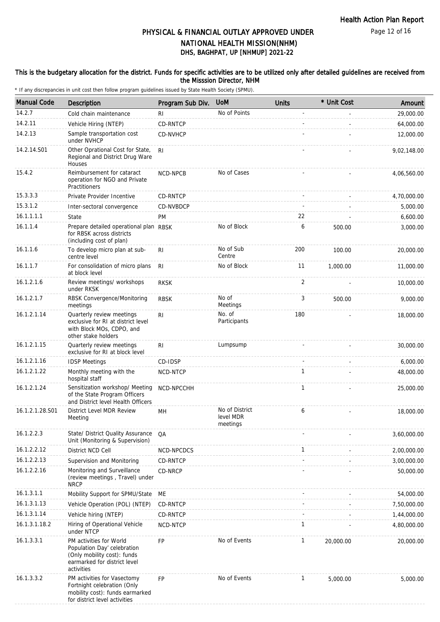Page 12 of 16

## DHS, BAGHPAT, UP [NHMUP] 2021-22 PHYSICAL & FINANCIAL OUTLAY APPROVED UNDER NATIONAL HEALTH MISSION(NHM)

#### This is the budgetary allocation for the district. Funds for specific activities are to be utilized only after detailed guidelines are received from the Misssion Director, NHM

| <b>Manual Code</b> | Description                                                                                                                         | Program Sub Div. | <b>UoM</b>                              | <b>Units</b> | * Unit Cost | Amount      |
|--------------------|-------------------------------------------------------------------------------------------------------------------------------------|------------------|-----------------------------------------|--------------|-------------|-------------|
| 14.2.7             | Cold chain maintenance                                                                                                              | R <sub>l</sub>   | No of Points                            |              |             | 29,000.00   |
| 14.2.11            | Vehicle Hiring (NTEP)                                                                                                               | CD-RNTCP         |                                         |              |             | 64,000.00   |
| 14.2.13            | Sample transportation cost<br>under NVHCP                                                                                           | CD-NVHCP         |                                         |              |             | 12,000.00   |
| 14.2.14.S01        | Other Oprational Cost for State,<br>Regional and District Drug Ware<br>Houses                                                       | RI.              |                                         |              |             | 9,02,148.00 |
| 15.4.2             | Reimbursement for cataract<br>operation for NGO and Private<br>Practitioners                                                        | NCD-NPCB         | No of Cases                             |              |             | 4,06,560.00 |
| 15.3.3.3           | Private Provider Incentive                                                                                                          | CD-RNTCP         |                                         |              |             | 4,70,000.00 |
| 15.3.1.2           | Inter-sectoral convergence                                                                                                          | CD-NVBDCP        |                                         |              |             | 5,000.00    |
| 16.1.1.1.1         | State                                                                                                                               | PM               |                                         | 22           |             | 6,600.00    |
| 16.1.1.4           | Prepare detailed operational plan RBSK<br>for RBSK across districts<br>(including cost of plan)                                     |                  | No of Block                             | 6            | 500.00      | 3,000.00    |
| 16.1.1.6           | To develop micro plan at sub-<br>centre level                                                                                       | R <sub>l</sub>   | No of Sub<br>Centre                     | 200          | 100.00      | 20,000.00   |
| 16.1.1.7           | For consolidation of micro plans<br>at block level                                                                                  | R <sub>l</sub>   | No of Block                             | 11           | 1,000.00    | 11,000.00   |
| 16.1.2.1.6         | Review meetings/ workshops<br>under RKSK                                                                                            | <b>RKSK</b>      |                                         | 2            |             | 10,000.00   |
| 16.1.2.1.7         | RBSK Convergence/Monitoring<br>meetings                                                                                             | <b>RBSK</b>      | No of<br>Meetings                       | 3            | 500.00      | 9,000.00    |
| 16.1.2.1.14        | Quarterly review meetings<br>exclusive for RI at district level<br>with Block MOs, CDPO, and<br>other stake holders                 | R <sub>l</sub>   | No. of<br>Participants                  | 180          |             | 18,000.00   |
| 16.1.2.1.15        | Quarterly review meetings<br>exclusive for RI at block level                                                                        | RI               | Lumpsump                                |              |             | 30,000.00   |
| 16.1.2.1.16        | <b>IDSP Meetings</b>                                                                                                                | CD-IDSP          |                                         |              |             | 6,000.00    |
| 16.1.2.1.22        | Monthly meeting with the<br>hospital staff                                                                                          | NCD-NTCP         |                                         | $\mathbf{1}$ |             | 48,000.00   |
| 16.1.2.1.24        | Sensitization workshop/ Meeting<br>of the State Program Officers<br>and District level Health Officers                              | NCD-NPCCHH       |                                         | $\mathbf{1}$ |             | 25,000.00   |
| 16.1.2.1.28.S01    | District Level MDR Review<br>Meeting                                                                                                | MН               | No of District<br>level MDR<br>meetings | 6            |             | 18,000.00   |
| 16.1.2.2.3         | State/ District Quality Assurance<br>Unit (Monitoring & Supervision)                                                                | QA               |                                         |              |             | 3,60,000.00 |
| 16.1.2.2.12        | District NCD Cell                                                                                                                   | NCD-NPCDCS       |                                         | 1            |             | 2,00,000.00 |
| 16.1.2.2.13        | Supervision and Monitoring                                                                                                          | CD-RNTCP         |                                         |              |             | 3,00,000.00 |
| 16.1.2.2.16        | Monitoring and Surveillance<br>(review meetings, Travel) under<br><b>NRCP</b>                                                       | CD-NRCP          |                                         |              |             | 50,000.00   |
| 16.1.3.1.1         | Mobility Support for SPMU/State                                                                                                     | ME               |                                         |              |             | 54,000.00   |
| 16.1.3.1.13        | Vehicle Operation (POL) (NTEP)                                                                                                      | CD-RNTCP         |                                         |              |             | 7,50,000.00 |
| 16.1.3.1.14        | Vehicle hiring (NTEP)                                                                                                               | CD-RNTCP         |                                         |              |             | 1,44,000.00 |
| 16.1.3.1.18.2      | Hiring of Operational Vehicle<br>under NTCP                                                                                         | NCD-NTCP         |                                         | $\mathbf{1}$ |             | 4,80,000.00 |
| 16.1.3.3.1         | PM activities for World<br>Population Day' celebration<br>(Only mobility cost): funds<br>earmarked for district level<br>activities | <b>FP</b>        | No of Events                            | $\mathbf{1}$ | 20,000.00   | 20,000.00   |
| 16.1.3.3.2         | PM activities for Vasectomy<br>Fortnight celebration (Only<br>mobility cost): funds earmarked<br>for district level activities      | <b>FP</b>        | No of Events                            | $\mathbf{1}$ | 5,000.00    | 5,000.00    |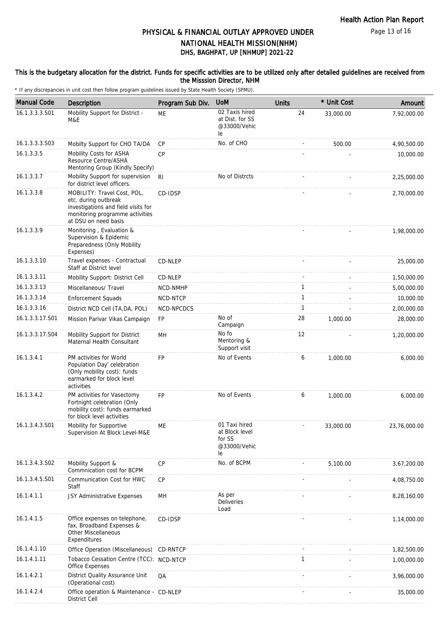#### This is the budgetary allocation for the district. Funds for specific activities are to be utilized only after detailed guidelines are received from the Misssion Director, NHM

| <b>Manual Code</b> | <b>Description</b>                                                                                                                                    | Program Sub Div. | <b>UoM</b>                                                      | <b>Units</b> | * Unit Cost | Amount       |
|--------------------|-------------------------------------------------------------------------------------------------------------------------------------------------------|------------------|-----------------------------------------------------------------|--------------|-------------|--------------|
| 16.1.3.3.3.S01     | Mobility Support for District -<br>M&E                                                                                                                | ME               | 02 Taxis hired<br>at Dist. for SS<br>@33000/Vehic<br>le         | 24           | 33,000.00   | 7,92,000.00  |
| 16.1.3.3.3.S03     | Mobilty Support for CHO TA/DA                                                                                                                         | CP               | No. of CHO                                                      |              | 500.00      | 4,90,500.00  |
| 16.1.3.3.5         | Mobility Costs for ASHA<br>Resource Centre/ASHA<br>Mentoring Group (Kindly Specify)                                                                   | <b>CP</b>        |                                                                 |              |             | 10,000.00    |
| 16.1.3.3.7         | Mobility Support for supervision<br>for district level officers.                                                                                      | RI               | No of Distrcts                                                  |              |             | 2,25,000.00  |
| 16.1.3.3.8         | MOBILITY: Travel Cost, POL,<br>etc. during outbreak<br>investigations and field visits for<br>monitoring programme activities<br>at DSU on need basis | CD-IDSP          |                                                                 |              |             | 2,70,000.00  |
| 16.1.3.3.9         | Monitoring, Evaluation &<br>Supervision & Epidemic<br>Preparedness (Only Mobility<br>Expenses)                                                        |                  |                                                                 |              |             | 1,98,000.00  |
| 16.1.3.3.10        | Travel expenses - Contractual<br>Staff at District level                                                                                              | CD-NLEP          |                                                                 |              |             | 25,000.00    |
| 16.1.3.3.11        | Mobility Support: District Cell                                                                                                                       | CD-NLEP          |                                                                 |              |             | 1,50,000.00  |
| 16.1.3.3.13        | Miscellaneous/ Travel                                                                                                                                 | NCD-NMHP         |                                                                 | 1            |             | 5,00,000.00  |
| 16.1.3.3.14        | <b>Enforcement Squads</b>                                                                                                                             | NCD-NTCP         |                                                                 | $\mathbf{1}$ |             | 10,000.00    |
| 16.1.3.3.16        | District NCD Cell (TA, DA, POL)                                                                                                                       | NCD-NPCDCS       |                                                                 | $\mathbf{1}$ |             | 2,00,000.00  |
| 16.1.3.3.17.S01    | Mission Parivar Vikas Campaign                                                                                                                        | FP               | No of<br>Campaign                                               | 28           | 1,000.00    | 28,000.00    |
| 16.1.3.3.17.S04    | Mobility Support for District<br>Maternal Health Consultant                                                                                           | MH               | No fo<br>Mentoring &<br>Support visit                           | 12           |             | 1,20,000.00  |
| 16.1.3.4.1         | PM activities for World<br>Population Day' celebration<br>(Only mobility cost): funds<br>earmarked for block level<br>activities                      | <b>FP</b>        | No of Events                                                    | 6            | 1,000.00    | 6,000.00     |
| 16.1.3.4.2         | PM activities for Vasectomy<br>Fortnight celebration (Only<br>mobility cost): funds earmarked<br>for block level activities                           | <b>FP</b>        | No of Events                                                    | 6            | 1,000.00    | 6,000.00     |
| 16.1.3.4.3.S01     | Mobility for Supportive<br>Supervision At Block Level-M&E                                                                                             | <b>ME</b>        | 01 Taxi hired<br>at Block level<br>for SS<br>@33000/Vehic<br>le |              | 33,000.00   | 23,76,000.00 |
| 16.1.3.4.3.S02     | Mobility Support &<br>Commnication cost for BCPM                                                                                                      | CP               | No. of BCPM                                                     |              | 5,100.00    | 3,67,200.00  |
| 16.1.3.4.5.S01     | Communication Cost for HWC<br>Staff                                                                                                                   | CP               |                                                                 |              |             | 4,08,750.00  |
| 16.1.4.1.1         | JSY Administrative Expenses                                                                                                                           | MH               | As per<br><b>Deliveries</b><br>Load                             |              |             | 8,28,160.00  |
| 16.1.4.1.5         | Office expenses on telephone,<br>fax, Broadband Expenses &<br><b>Other Miscellaneous</b><br>Expenditures                                              | CD-IDSP          |                                                                 |              |             | 1,14,000.00  |
| 16.1.4.1.10        | Office Operation (Miscellaneous)                                                                                                                      | CD-RNTCP         |                                                                 |              |             | 1,82,500.00  |
| 16.1.4.1.11        | Tobacco Cessation Centre (TCC): NCD-NTCP<br>Office Expenses                                                                                           |                  |                                                                 | $\mathbf{1}$ |             | 1,00,000.00  |
| 16.1.4.2.1         | District Quality Assurance Unit<br>(Operational cost)                                                                                                 | QA               |                                                                 |              |             | 3,96,000.00  |
| 16.1.4.2.4         | Office operation & Maintenance - CD-NLEP<br>District Cell                                                                                             |                  |                                                                 |              |             | 35,000.00    |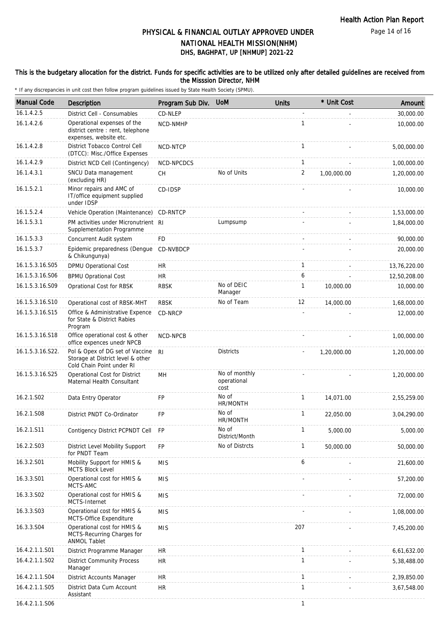#### This is the budgetary allocation for the district. Funds for specific activities are to be utilized only after detailed guidelines are received from the Misssion Director, NHM

| <b>Manual Code</b> | Description                                                                                       | Program Sub Div. | <b>UoM</b>                           | <b>Units</b>   | * Unit Cost | Amount       |
|--------------------|---------------------------------------------------------------------------------------------------|------------------|--------------------------------------|----------------|-------------|--------------|
| 16.1.4.2.5         | District Cell - Consumables                                                                       | CD-NLEP          |                                      |                |             | 30,000.00    |
| 16.1.4.2.6         | Operational expenses of the<br>district centre : rent, telephone<br>expenses, website etc.        | NCD-NMHP         |                                      | 1              |             | 10,000.00    |
| 16.1.4.2.8         | District Tobacco Control Cell<br>(DTCC): Misc./Office Expenses                                    | NCD-NTCP         |                                      | $\mathbf{1}$   |             | 5,00,000.00  |
| 16.1.4.2.9         | District NCD Cell (Contingency)                                                                   | NCD-NPCDCS       |                                      | $\mathbf{1}$   |             | 1,00,000.00  |
| 16.1.4.3.1         | SNCU Data management<br>(excluding HR)                                                            | CH               | No of Units                          | $\overline{c}$ | 1,00,000.00 | 1,20,000.00  |
| 16.1.5.2.1         | Minor repairs and AMC of<br>IT/office equipment supplied<br>under IDSP                            | CD-IDSP          |                                      |                |             | 10,000.00    |
| 16.1.5.2.4         | Vehicle Operation (Maintenance)                                                                   | CD-RNTCP         |                                      |                |             | 1,53,000.00  |
| 16.1.5.3.1         | PM activities under Micronutrient RI<br>Supplementation Programme                                 |                  | Lumpsump                             |                |             | 1,84,000.00  |
| 16.1.5.3.3         | Concurrent Audit system                                                                           | FD               |                                      |                |             | 90,000.00    |
| 16.1.5.3.7         | Epidemic preparedness (Dengue<br>& Chikungunya)                                                   | CD-NVBDCP        |                                      |                |             | 20,000.00    |
| 16.1.5.3.16.S05    | DPMU Operational Cost                                                                             | HR               |                                      | $\mathbf{1}$   |             | 13,76,220.00 |
| 16.1.5.3.16.S06    | <b>BPMU Oprational Cost</b>                                                                       | <b>HR</b>        |                                      | 6              |             | 12,50,208.00 |
| 16.1.5.3.16.S09    | Oprational Cost for RBSK                                                                          | <b>RBSK</b>      | No of DEIC<br>Manager                | $\mathbf{1}$   | 10,000.00   | 10,000.00    |
| 16.1.5.3.16.S10    | Operational cost of RBSK-MHT                                                                      | <b>RBSK</b>      | No of Team                           | 12             | 14,000.00   | 1,68,000.00  |
| 16.1.5.3.16.S15    | Office & Administrative Expence<br>for State & District Rabies<br>Program                         | CD-NRCP          |                                      |                |             | 12,000.00    |
| 16.1.5.3.16.S18    | Office operational cost & other<br>office expences unedr NPCB                                     | NCD-NPCB         |                                      |                |             | 1,00,000.00  |
| 16.1.5.3.16.S22.   | Pol & Opex of DG set of Vaccine<br>Storage at District level & other<br>Cold Chain Point under RI | R <sub>l</sub>   | <b>Districts</b>                     |                | 1,20,000.00 | 1,20,000.00  |
| 16.1.5.3.16.S25    | Operational Cost for District<br>Maternal Health Consultant                                       | MH               | No of monthly<br>operational<br>cost |                |             | 1,20,000.00  |
| 16.2.1.S02         | Data Entry Operator                                                                               | FP               | No of<br>HR/MONTH                    | 1              | 14,071.00   | 2,55,259.00  |
| 16.2.1.S08         | District PNDT Co-Ordinator                                                                        | FP               | No of<br>HR/MONTH                    | $\mathbf{1}$   | 22.050.00   | 3,04,290.00  |
| 16.2.1.S11         | Contigency District PCPNDT Cell                                                                   | <b>FP</b>        | No of<br>District/Month              | $\mathbf{1}$   | 5,000.00    | 5,000.00     |
| 16.2.2.S03         | District Level Mobility Support<br>for PNDT Team                                                  | FP               | No of Distrcts                       | 1              | 50,000.00   | 50,000.00    |
| 16.3.2.S01         | Mobility Support for HMIS &<br><b>MCTS Block Level</b>                                            | <b>MIS</b>       |                                      | 6              |             | 21,600.00    |
| 16.3.3.S01         | Operational cost for HMIS &<br>MCTS-AMC                                                           | <b>MIS</b>       |                                      |                |             | 57,200.00    |
| 16.3.3.S02         | Operational cost for HMIS &<br>MCTS-Internet                                                      | <b>MIS</b>       |                                      |                |             | 72,000.00    |
| 16.3.3.S03         | Operational cost for HMIS &<br>MCTS-Office Expenditure                                            | <b>MIS</b>       |                                      |                |             | 1,08,000.00  |
| 16.3.3.S04         | Operational cost for HMIS &<br>MCTS-Recurring Charges for<br><b>ANMOL Tablet</b>                  | <b>MIS</b>       |                                      | 207            |             | 7,45,200.00  |
| 16.4.2.1.1.S01     | District Programme Manager                                                                        | <b>HR</b>        |                                      | 1              |             | 6,61,632.00  |
| 16.4.2.1.1.S02     | <b>District Community Process</b><br>Manager                                                      | <b>HR</b>        |                                      | $\mathbf{1}$   |             | 5,38,488.00  |
| 16.4.2.1.1.S04     | District Accounts Manager                                                                         | <b>HR</b>        |                                      | $\mathbf{1}$   |             | 2,39,850.00  |
| 16.4.2.1.1.S05     | District Data Cum Account<br>Assistant                                                            | <b>HR</b>        |                                      | $\mathbf{1}$   |             | 3,67,548.00  |
| 16.4.2.1.1.S06     |                                                                                                   |                  |                                      | 1              |             |              |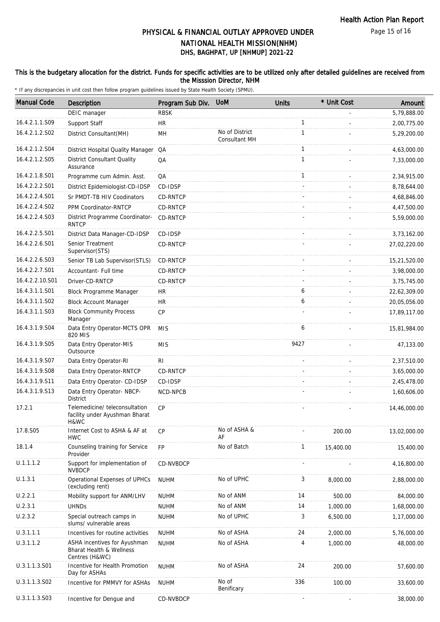#### This is the budgetary allocation for the district. Funds for specific activities are to be utilized only after detailed guidelines are received from the Misssion Director, NHM

| <b>Manual Code</b> | <b>Description</b>                                                         | Program Sub Div. | <b>UoM</b>                      | <b>Units</b> | * Unit Cost | Amount        |
|--------------------|----------------------------------------------------------------------------|------------------|---------------------------------|--------------|-------------|---------------|
|                    | DEIC manager                                                               | <b>RBSK</b>      |                                 |              |             | 5,79,888.00   |
| 16.4.2.1.1.S09     | Support Staff                                                              | <b>HR</b>        |                                 | $\mathbf{1}$ |             | 2,00,775.00   |
| 16.4.2.1.2.S02     | District Consultant(MH)                                                    | MH               | No of District<br>Consultant MH | $\mathbf{1}$ |             | 5,29,200.00   |
| 16.4.2.1.2.S04     | District Hospital Quality Manager QA                                       |                  |                                 | $\mathbf{1}$ |             | 4,63,000.00   |
| 16.4.2.1.2.S05     | <b>District Consultant Quality</b><br>Assurance                            | QA               |                                 | $\mathbf{1}$ |             | 7,33,000.00   |
| 16.4.2.1.8.S01     | Programme cum Admin. Asst.                                                 | QA               |                                 | $\mathbf{1}$ |             | 2,34,915.00   |
| 16.4.2.2.2.S01     | District Epidemiologist-CD-IDSP                                            | CD-IDSP          |                                 |              |             | 8,78,644.00   |
| 16.4.2.2.4.S01     | Sr PMDT-TB HIV Coodinators                                                 | CD-RNTCP         |                                 |              |             | 4,68,846.00   |
| 16.4.2.2.4.S02     | PPM Coordinator-RNTCP                                                      | CD-RNTCP         |                                 |              |             | 4,47,500.00   |
| 16.4.2.2.4.S03     | District Programme Coordinator-<br><b>RNTCP</b>                            | CD-RNTCP         |                                 |              |             | 5,59,000.00   |
| 16.4.2.2.5.S01     | District Data Manager-CD-IDSP                                              | CD-IDSP          |                                 |              |             | 3,73,162.00   |
| 16.4.2.2.6.S01     | Senior Treatment<br>Supervisor (STS)                                       | CD-RNTCP         |                                 |              |             | 27,02,220.00  |
| 16.4.2.2.6.S03     | Senior TB Lab Supervisor(STLS)                                             | CD-RNTCP         |                                 |              |             | 15,21,520.00  |
| 16.4.2.2.7.S01     | Accountant- Full time                                                      | CD-RNTCP         |                                 |              |             | 3,98,000.00   |
| 16.4.2.2.10.S01    | Driver-CD-RNTCP                                                            | CD-RNTCP         |                                 |              |             | 3,75,745.00   |
| 16.4.3.1.1.S01     | Block Programme Manager                                                    | <b>HR</b>        |                                 | 6            |             | 22,62,309.00  |
| 16.4.3.1.1.S02     | <b>Block Account Manager</b>                                               | <b>HR</b>        |                                 | 6            |             | 20,05,056.00  |
| 16.4.3.1.1.S03     | <b>Block Community Process</b><br>Manager                                  | CP               |                                 |              |             | 17,89,117.00  |
| 16.4.3.1.9.S04     | Data Entry Operator-MCTS OPR<br>820 MIS                                    | <b>MIS</b>       |                                 | 6            |             | 15,81,984.00  |
| 16.4.3.1.9.S05     | Data Entry Operator-MIS<br>Outsource                                       | <b>MIS</b>       |                                 | 9427         |             | 47,133.00     |
| 16.4.3.1.9.S07     | Data Entry Operator-RI                                                     | R <sub>l</sub>   |                                 |              |             | 2,37,510.00   |
| 16.4.3.1.9.S08     | Data Entry Operator-RNTCP                                                  | CD-RNTCP         |                                 |              |             | 3,65,000.00   |
| 16.4.3.1.9.S11     | Data Entry Operator- CD-IDSP                                               | CD-IDSP          |                                 |              |             | 2,45,478.00   |
| 16.4.3.1.9.S13     | Data Entry Operator- NBCP-<br>District                                     | NCD-NPCB         |                                 |              |             | 1,60,606.00   |
| 17.2.1             | Telemedicine/ teleconsultation<br>facility under Ayushman Bharat<br>H&WC   | CP               |                                 |              |             | 14,46,000.00  |
| 17.8.S05           | Internet Cost to ASHA & AF at<br><b>HWC</b>                                | CP               | No of ASHA &<br>AF              |              | 200.00      | 13,02,000.00  |
| 18.1.4             | Counseling training for Service<br>Provider                                | <b>FP</b>        | No of Batch                     | $\mathbf{1}$ | 15,400.00   | 15,400.00     |
| U.1.1.1.2          | Support for implementation of<br><b>NVBDCP</b>                             | CD-NVBDCP        |                                 |              |             | 4, 16, 800.00 |
| U.1.3.1            | Operational Expenses of UPHCs<br>(excluding rent)                          | <b>NUHM</b>      | No of UPHC                      | 3            | 8,000.00    | 2,88,000.00   |
| U.2.2.1            | Mobility support for ANM/LHV                                               | <b>NUHM</b>      | No of ANM                       | 14           | 500.00      | 84,000.00     |
| U.2.3.1            | <b>UHNDs</b>                                                               | <b>NUHM</b>      | No of ANM                       | 14           | 1,000.00    | 1,68,000.00   |
| U.2.3.2            | Special outreach camps in<br>slums/ vulnerable areas                       | <b>NUHM</b>      | No of UPHC                      | 3            | 6,500.00    | 1,17,000.00   |
| U.3.1.1.1          | Incentives for routine activities                                          | <b>NUHM</b>      | No of ASHA                      | 24           | 2,000.00    | 5,76,000.00   |
| U.3.1.1.2          | ASHA incentives for Ayushman<br>Bharat Health & Wellness<br>Centres (H&WC) | <b>NUHM</b>      | No of ASHA                      | 4            | 1,000.00    | 48,000.00     |
| U.3.1.1.3.S01      | Incentive for Health Promotion<br>Day for ASHAs                            | <b>NUHM</b>      | No of ASHA                      | 24           | 200.00      | 57,600.00     |
| U.3.1.1.3.S02      | Incentive for PMMVY for ASHAs                                              | <b>NUHM</b>      | No of<br>Benificary             | 336          | 100.00      | 33,600.00     |
| U.3.1.1.3.S03      | Incentive for Dengue and                                                   | CD-NVBDCP        |                                 |              |             | 38,000.00     |